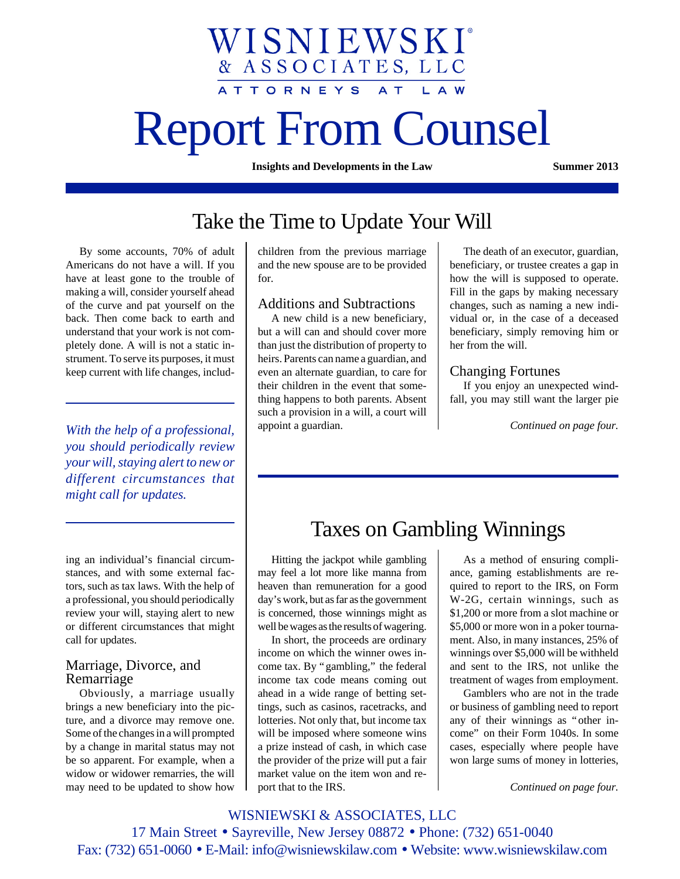# Report From Counsel

WISNIEWSKI®

& ASSOCIATES, LLC

ATTORNEYS AT

**Insights and Developments in the Law Summer 2013**

# Take the Time to Update Your Will

By some accounts, 70% of adult Americans do not have a will. If you have at least gone to the trouble of making a will, consider yourself ahead of the curve and pat yourself on the back. Then come back to earth and understand that your work is not completely done. A will is not a static instrument. To serve its purposes, it must keep current with life changes, includ-

*you should periodically review your will, staying alert to new or different circumstances that might call for updates.*

ing an individual's financial circumstances, and with some external factors, such as tax laws. With the help of a professional, you should periodically review your will, staying alert to new or different circumstances that might call for updates.

# Marriage, Divorce, and Remarriage

Obviously, a marriage usually brings a new beneficiary into the picture, and a divorce may remove one. Some of the changes in a will prompted by a change in marital status may not be so apparent. For example, when a widow or widower remarries, the will may need to be updated to show how children from the previous marriage and the new spouse are to be provided for.

## Additions and Subtractions

A new child is a new beneficiary, but a will can and should cover more than just the distribution of property to heirs. Parents can name a guardian, and even an alternate guardian, to care for their children in the event that something happens to both parents. Absent such a provision in a will, a court will appoint a guardian. *With the help of a professional,* appoint a guardian. The continued on page four.

The death of an executor, guardian, beneficiary, or trustee creates a gap in how the will is supposed to operate. Fill in the gaps by making necessary changes, such as naming a new individual or, in the case of a deceased beneficiary, simply removing him or her from the will.

## Changing Fortunes

If you enjoy an unexpected windfall, you may still want the larger pie

# Taxes on Gambling Winnings

Hitting the jackpot while gambling may feel a lot more like manna from heaven than remuneration for a good day's work, but as far as the government is concerned, those winnings might as well be wages as the results of wagering.

In short, the proceeds are ordinary income on which the winner owes income tax. By "gambling," the federal income tax code means coming out ahead in a wide range of betting settings, such as casinos, racetracks, and lotteries. Not only that, but income tax will be imposed where someone wins a prize instead of cash, in which case the provider of the prize will put a fair market value on the item won and report that to the IRS.

As a method of ensuring compliance, gaming establishments are required to report to the IRS, on Form W-2G, certain winnings, such as \$1,200 or more from a slot machine or \$5,000 or more won in a poker tournament. Also, in many instances, 25% of winnings over \$5,000 will be withheld and sent to the IRS, not unlike the treatment of wages from employment.

Gamblers who are not in the trade or business of gambling need to report any of their winnings as "other income" on their Form 1040s. In some cases, especially where people have won large sums of money in lotteries,

*Continued on page four.*

WISNIEWSKI & ASSOCIATES, LLC 17 Main Street • Sayreville, New Jersey 08872 • Phone: (732) 651-0040 Fax: (732) 651-0060 • E-Mail: info@wisniewskilaw.com • Website: www.wisniewskilaw.com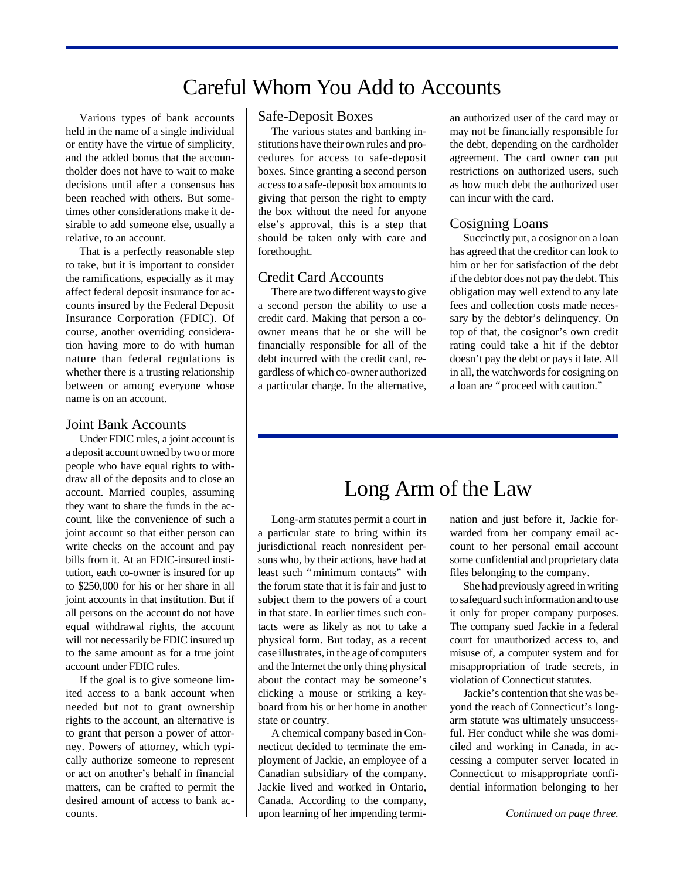# Careful Whom You Add to Accounts

Various types of bank accounts held in the name of a single individual or entity have the virtue of simplicity, and the added bonus that the accountholder does not have to wait to make decisions until after a consensus has been reached with others. But sometimes other considerations make it desirable to add someone else, usually a relative, to an account.

That is a perfectly reasonable step to take, but it is important to consider the ramifications, especially as it may affect federal deposit insurance for accounts insured by the Federal Deposit Insurance Corporation (FDIC). Of course, another overriding consideration having more to do with human nature than federal regulations is whether there is a trusting relationship between or among everyone whose name is on an account.

#### Joint Bank Accounts

Under FDIC rules, a joint account is a deposit account owned by two or more people who have equal rights to withdraw all of the deposits and to close an account. Married couples, assuming they want to share the funds in the account, like the convenience of such a joint account so that either person can write checks on the account and pay bills from it. At an FDIC-insured institution, each co-owner is insured for up to \$250,000 for his or her share in all joint accounts in that institution. But if all persons on the account do not have equal withdrawal rights, the account will not necessarily be FDIC insured up to the same amount as for a true joint account under FDIC rules.

If the goal is to give someone limited access to a bank account when needed but not to grant ownership rights to the account, an alternative is to grant that person a power of attorney. Powers of attorney, which typically authorize someone to represent or act on another's behalf in financial matters, can be crafted to permit the desired amount of access to bank accounts.

## Safe-Deposit Boxes

The various states and banking institutions have their own rules and procedures for access to safe-deposit boxes. Since granting a second person access to a safe-deposit box amounts to giving that person the right to empty the box without the need for anyone else's approval, this is a step that should be taken only with care and forethought.

#### Credit Card Accounts

There are two different ways to give a second person the ability to use a credit card. Making that person a coowner means that he or she will be financially responsible for all of the debt incurred with the credit card, regardless of which co-owner authorized a particular charge. In the alternative,

an authorized user of the card may or may not be financially responsible for the debt, depending on the cardholder agreement. The card owner can put restrictions on authorized users, such as how much debt the authorized user can incur with the card.

#### Cosigning Loans

Succinctly put, a cosignor on a loan has agreed that the creditor can look to him or her for satisfaction of the debt if the debtor does not pay the debt. This obligation may well extend to any late fees and collection costs made necessary by the debtor's delinquency. On top of that, the cosignor's own credit rating could take a hit if the debtor doesn't pay the debt or pays it late. All in all, the watchwords for cosigning on a loan are "proceed with caution."

# Long Arm of the Law

Long-arm statutes permit a court in a particular state to bring within its jurisdictional reach nonresident persons who, by their actions, have had at least such "minimum contacts" with the forum state that it is fair and just to subject them to the powers of a court in that state. In earlier times such contacts were as likely as not to take a physical form. But today, as a recent case illustrates, in the age of computers and the Internet the only thing physical about the contact may be someone's clicking a mouse or striking a keyboard from his or her home in another state or country.

A chemical company based in Connecticut decided to terminate the employment of Jackie, an employee of a Canadian subsidiary of the company. Jackie lived and worked in Ontario, Canada. According to the company, upon learning of her impending termi-

nation and just before it, Jackie forwarded from her company email account to her personal email account some confidential and proprietary data files belonging to the company.

She had previously agreed in writing to safeguard such information and to use it only for proper company purposes. The company sued Jackie in a federal court for unauthorized access to, and misuse of, a computer system and for misappropriation of trade secrets, in violation of Connecticut statutes.

Jackie's contention that she was beyond the reach of Connecticut's longarm statute was ultimately unsuccessful. Her conduct while she was domiciled and working in Canada, in accessing a computer server located in Connecticut to misappropriate confidential information belonging to her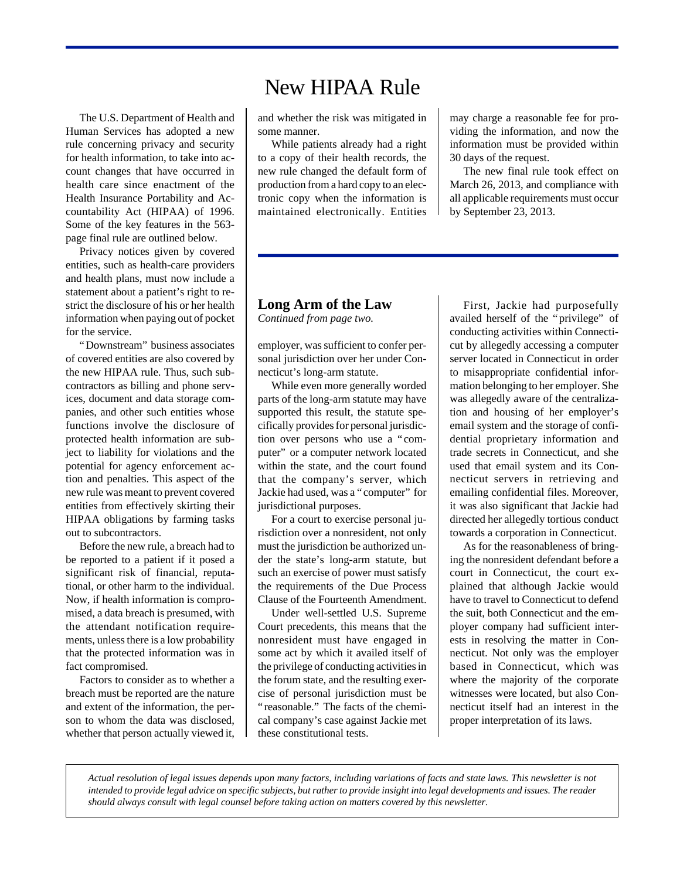The U.S. Department of Health and Human Services has adopted a new rule concerning privacy and security for health information, to take into account changes that have occurred in health care since enactment of the Health Insurance Portability and Accountability Act (HIPAA) of 1996. Some of the key features in the 563 page final rule are outlined below.

Privacy notices given by covered entities, such as health-care providers and health plans, must now include a statement about a patient's right to restrict the disclosure of his or her health information when paying out of pocket for the service.

"Downstream" business associates of covered entities are also covered by the new HIPAA rule. Thus, such subcontractors as billing and phone services, document and data storage companies, and other such entities whose functions involve the disclosure of protected health information are subject to liability for violations and the potential for agency enforcement action and penalties. This aspect of the new rule was meant to prevent covered entities from effectively skirting their HIPAA obligations by farming tasks out to subcontractors.

Before the new rule, a breach had to be reported to a patient if it posed a significant risk of financial, reputational, or other harm to the individual. Now, if health information is compromised, a data breach is presumed, with the attendant notification requirements, unless there is a low probability that the protected information was in fact compromised.

Factors to consider as to whether a breach must be reported are the nature and extent of the information, the person to whom the data was disclosed, whether that person actually viewed it,

# New HIPAA Rule

and whether the risk was mitigated in some manner.

While patients already had a right to a copy of their health records, the new rule changed the default form of production from a hard copy to an electronic copy when the information is maintained electronically. Entities

may charge a reasonable fee for providing the information, and now the information must be provided within 30 days of the request.

The new final rule took effect on March 26, 2013, and compliance with all applicable requirements must occur by September 23, 2013.

# **Long Arm of the Law**

*Continued from page two.*

employer, was sufficient to confer personal jurisdiction over her under Connecticut's long-arm statute.

While even more generally worded parts of the long-arm statute may have supported this result, the statute specifically provides for personal jurisdiction over persons who use a "computer" or a computer network located within the state, and the court found that the company's server, which Jackie had used, was a "computer" for jurisdictional purposes.

For a court to exercise personal jurisdiction over a nonresident, not only must the jurisdiction be authorized under the state's long-arm statute, but such an exercise of power must satisfy the requirements of the Due Process Clause of the Fourteenth Amendment.

Under well-settled U.S. Supreme Court precedents, this means that the nonresident must have engaged in some act by which it availed itself of the privilege of conducting activities in the forum state, and the resulting exercise of personal jurisdiction must be "reasonable." The facts of the chemical company's case against Jackie met these constitutional tests.

First, Jackie had purposefully availed herself of the "privilege" of conducting activities within Connecticut by allegedly accessing a computer server located in Connecticut in order to misappropriate confidential information belonging to her employer. She was allegedly aware of the centralization and housing of her employer's email system and the storage of confidential proprietary information and trade secrets in Connecticut, and she used that email system and its Connecticut servers in retrieving and emailing confidential files. Moreover, it was also significant that Jackie had directed her allegedly tortious conduct towards a corporation in Connecticut.

As for the reasonableness of bringing the nonresident defendant before a court in Connecticut, the court explained that although Jackie would have to travel to Connecticut to defend the suit, both Connecticut and the employer company had sufficient interests in resolving the matter in Connecticut. Not only was the employer based in Connecticut, which was where the majority of the corporate witnesses were located, but also Connecticut itself had an interest in the proper interpretation of its laws.

*Actual resolution of legal issues depends upon many factors, including variations of facts and state laws. This newsletter is not intended to provide legal advice on specific subjects, but rather to provide insight into legal developments and issues. The reader should always consult with legal counsel before taking action on matters covered by this newsletter.*